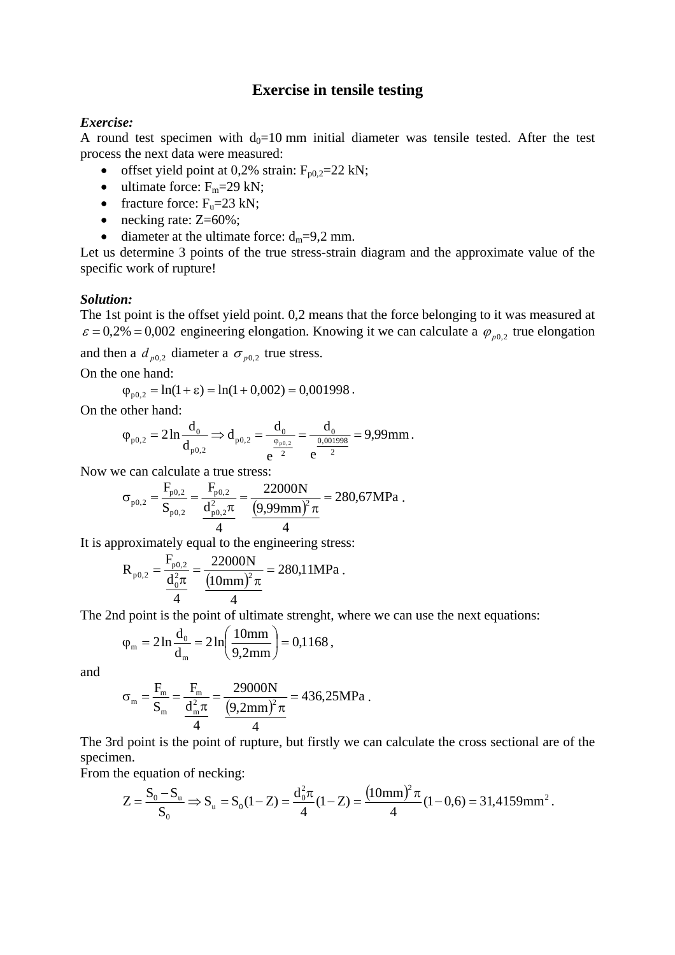## **Exercise in tensile testing**

## *Exercise:*

A round test specimen with  $d_0=10$  mm initial diameter was tensile tested. After the test process the next data were measured:

- offset yield point at 0,2% strain:  $F_{p0,2} = 22$  kN;
- ultimate force:  $F_m = 29$  kN;
- fracture force:  $F_u=23$  kN;
- necking rate: Z=60%;
- diameter at the ultimate force:  $d_m=9,2$  mm.

Let us determine 3 points of the true stress-strain diagram and the approximate value of the specific work of rupture!

## *Solution:*

The 1st point is the offset yield point. 0,2 means that the force belonging to it was measured at  $\varepsilon = 0.2\% = 0.002$  engineering elongation. Knowing it we can calculate a  $\varphi_{n0.2}$  true elongation

and then a  $d_{p0,2}$  diameter a  $\sigma_{p0,2}$  true stress.

On the one hand:

$$
\varphi_{p0,2} = \ln(1+\epsilon) = \ln(1+0,002) = 0,001998.
$$

On the other hand:

$$
\phi_{\text{p0,2}} = 2\ln\frac{d_0}{d_{\text{p0,2}}} \Longrightarrow d_{\text{p0,2}} = \frac{d_0}{e^{\frac{\phi_{\text{p0,2}}}{2}}} = \frac{d_0}{e^{\frac{0.001998}{2}}} = 9{,}99 \text{mm} \, .
$$

Now we can calculate a true stress:

$$
\sigma_{\text{p0,2}} = \frac{F_{\text{p0,2}}}{S_{\text{p0,2}}} = \frac{F_{\text{p0,2}}}{\frac{d_{\text{p0,2}}^2 \pi}{4}} = \frac{22000N}{(9,99\text{mm})^2 \pi} = 280,67 \text{MPa}.
$$

It is approximately equal to the engineering stress:

$$
R_{p0,2} = \frac{F_{p0,2}}{\frac{d_0^2 \pi}{4}} = \frac{22000N}{\frac{(10mm)^2 \pi}{4}} = 280,11 MPa.
$$

The 2nd point is the point of ultimate strenght, where we can use the next equations:

$$
\varphi_{\rm m} = 2 \ln \frac{d_0}{d_{\rm m}} = 2 \ln \left( \frac{10 \text{mm}}{9,2 \text{mm}} \right) = 0,1168,
$$

and

$$
\sigma_{\rm m} = \frac{F_{\rm m}}{S_{\rm m}} = \frac{F_{\rm m}}{\frac{d_{\rm m}^2 \pi}{4}} = \frac{29000N}{(9,2 \text{mm})^2 \pi} = 436,25 \text{MPa}.
$$

The 3rd point is the point of rupture, but firstly we can calculate the cross sectional are of the specimen.

From the equation of necking:

$$
Z = \frac{S_0 - S_u}{S_0} \Rightarrow S_u = S_0(1 - Z) = \frac{d_0^2 \pi}{4} (1 - Z) = \frac{(10 \text{mm})^2 \pi}{4} (1 - 0.6) = 31,4159 \text{mm}^2.
$$